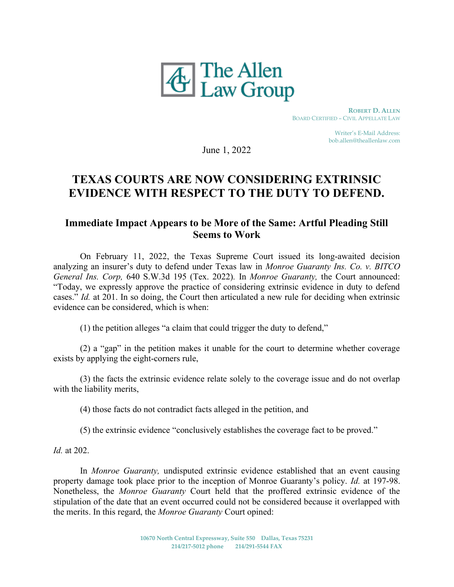

 ROBERT D. ALLEN BOARD CERTIFIED – CIVIL APPELLATE LAW

> Writer's E-Mail Address: bob.allen@theallenlaw.com

June 1, 2022

## TEXAS COURTS ARE NOW CONSIDERING EXTRINSIC EVIDENCE WITH RESPECT TO THE DUTY TO DEFEND.

## Immediate Impact Appears to be More of the Same: Artful Pleading Still Seems to Work

On February 11, 2022, the Texas Supreme Court issued its long-awaited decision analyzing an insurer's duty to defend under Texas law in Monroe Guaranty Ins. Co. v. BITCO General Ins. Corp, 640 S.W.3d 195 (Tex. 2022). In Monroe Guaranty, the Court announced: "Today, we expressly approve the practice of considering extrinsic evidence in duty to defend cases." Id. at 201. In so doing, the Court then articulated a new rule for deciding when extrinsic evidence can be considered, which is when:

(1) the petition alleges "a claim that could trigger the duty to defend,"

(2) a "gap" in the petition makes it unable for the court to determine whether coverage exists by applying the eight-corners rule,

(3) the facts the extrinsic evidence relate solely to the coverage issue and do not overlap with the liability merits,

(4) those facts do not contradict facts alleged in the petition, and

(5) the extrinsic evidence "conclusively establishes the coverage fact to be proved."

Id. at 202.

In Monroe Guaranty, undisputed extrinsic evidence established that an event causing property damage took place prior to the inception of Monroe Guaranty's policy. Id. at 197-98. Nonetheless, the Monroe Guaranty Court held that the proffered extrinsic evidence of the stipulation of the date that an event occurred could not be considered because it overlapped with the merits. In this regard, the Monroe Guaranty Court opined: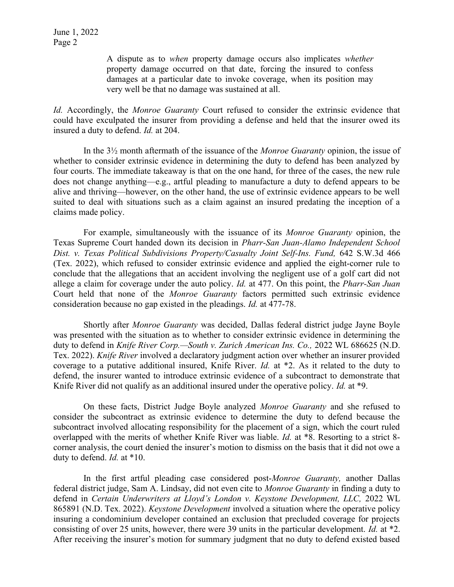June 1, 2022 Page 2

> A dispute as to when property damage occurs also implicates whether property damage occurred on that date, forcing the insured to confess damages at a particular date to invoke coverage, when its position may very well be that no damage was sustained at all.

Id. Accordingly, the Monroe Guaranty Court refused to consider the extrinsic evidence that could have exculpated the insurer from providing a defense and held that the insurer owed its insured a duty to defend. Id. at 204.

 In the 3½ month aftermath of the issuance of the Monroe Guaranty opinion, the issue of whether to consider extrinsic evidence in determining the duty to defend has been analyzed by four courts. The immediate takeaway is that on the one hand, for three of the cases, the new rule does not change anything—e.g., artful pleading to manufacture a duty to defend appears to be alive and thriving—however, on the other hand, the use of extrinsic evidence appears to be well suited to deal with situations such as a claim against an insured predating the inception of a claims made policy.

 For example, simultaneously with the issuance of its Monroe Guaranty opinion, the Texas Supreme Court handed down its decision in Pharr-San Juan-Alamo Independent School Dist. v. Texas Political Subdivisions Property/Casualty Joint Self-Ins. Fund, 642 S.W.3d 466 (Tex. 2022), which refused to consider extrinsic evidence and applied the eight-corner rule to conclude that the allegations that an accident involving the negligent use of a golf cart did not allege a claim for coverage under the auto policy. Id. at 477. On this point, the *Pharr-San Juan* Court held that none of the Monroe Guaranty factors permitted such extrinsic evidence consideration because no gap existed in the pleadings. Id. at 477-78.

 Shortly after Monroe Guaranty was decided, Dallas federal district judge Jayne Boyle was presented with the situation as to whether to consider extrinsic evidence in determining the duty to defend in Knife River Corp.—South v. Zurich American Ins. Co., 2022 WL 686625 (N.D. Tex. 2022). Knife River involved a declaratory judgment action over whether an insurer provided coverage to a putative additional insured, Knife River. Id. at \*2. As it related to the duty to defend, the insurer wanted to introduce extrinsic evidence of a subcontract to demonstrate that Knife River did not qualify as an additional insured under the operative policy. *Id.* at \*9.

 On these facts, District Judge Boyle analyzed Monroe Guaranty and she refused to consider the subcontract as extrinsic evidence to determine the duty to defend because the subcontract involved allocating responsibility for the placement of a sign, which the court ruled overlapped with the merits of whether Knife River was liable. Id. at \*8. Resorting to a strict 8 corner analysis, the court denied the insurer's motion to dismiss on the basis that it did not owe a duty to defend. Id. at \*10.

 In the first artful pleading case considered post-Monroe Guaranty, another Dallas federal district judge, Sam A. Lindsay, did not even cite to Monroe Guaranty in finding a duty to defend in Certain Underwriters at Lloyd's London v. Keystone Development, LLC, 2022 WL 865891 (N.D. Tex. 2022). Keystone Development involved a situation where the operative policy insuring a condominium developer contained an exclusion that precluded coverage for projects consisting of over 25 units, however, there were 39 units in the particular development. Id. at \*2. After receiving the insurer's motion for summary judgment that no duty to defend existed based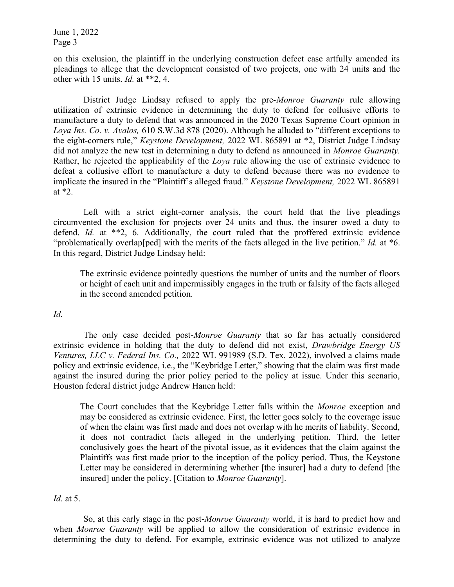June 1, 2022 Page 3

on this exclusion, the plaintiff in the underlying construction defect case artfully amended its pleadings to allege that the development consisted of two projects, one with 24 units and the other with 15 units. Id. at \*\*2, 4.

District Judge Lindsay refused to apply the pre-*Monroe Guaranty* rule allowing utilization of extrinsic evidence in determining the duty to defend for collusive efforts to manufacture a duty to defend that was announced in the 2020 Texas Supreme Court opinion in Loya Ins. Co. v. Avalos, 610 S.W.3d 878 (2020). Although he alluded to "different exceptions to the eight-corners rule," Keystone Development, 2022 WL 865891 at \*2, District Judge Lindsay did not analyze the new test in determining a duty to defend as announced in *Monroe Guaranty*. Rather, he rejected the applicability of the *Loya* rule allowing the use of extrinsic evidence to defeat a collusive effort to manufacture a duty to defend because there was no evidence to implicate the insured in the "Plaintiff's alleged fraud." Keystone Development, 2022 WL 865891 at \*2.

 Left with a strict eight-corner analysis, the court held that the live pleadings circumvented the exclusion for projects over 24 units and thus, the insurer owed a duty to defend. Id. at \*\*2, 6. Additionally, the court ruled that the proffered extrinsic evidence "problematically overlap[ped] with the merits of the facts alleged in the live petition." Id. at  $*6$ . In this regard, District Judge Lindsay held:

The extrinsic evidence pointedly questions the number of units and the number of floors or height of each unit and impermissibly engages in the truth or falsity of the facts alleged in the second amended petition.

Id.

The only case decided post-Monroe Guaranty that so far has actually considered extrinsic evidence in holding that the duty to defend did not exist, *Drawbridge Energy US* Ventures, LLC v. Federal Ins. Co., 2022 WL 991989 (S.D. Tex. 2022), involved a claims made policy and extrinsic evidence, i.e., the "Keybridge Letter," showing that the claim was first made against the insured during the prior policy period to the policy at issue. Under this scenario, Houston federal district judge Andrew Hanen held:

The Court concludes that the Keybridge Letter falls within the *Monroe* exception and may be considered as extrinsic evidence. First, the letter goes solely to the coverage issue of when the claim was first made and does not overlap with he merits of liability. Second, it does not contradict facts alleged in the underlying petition. Third, the letter conclusively goes the heart of the pivotal issue, as it evidences that the claim against the Plaintiffs was first made prior to the inception of the policy period. Thus, the Keystone Letter may be considered in determining whether [the insurer] had a duty to defend [the insured] under the policy. [Citation to Monroe Guaranty].

## Id. at 5.

 So, at this early stage in the post-Monroe Guaranty world, it is hard to predict how and when *Monroe Guaranty* will be applied to allow the consideration of extrinsic evidence in determining the duty to defend. For example, extrinsic evidence was not utilized to analyze